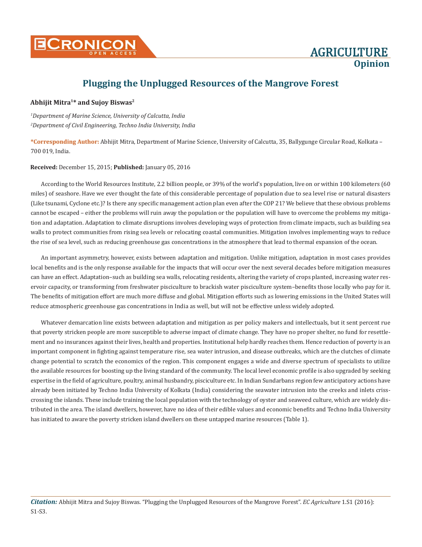

## **Plugging the Unplugged Resources of the Mangrove Forest**

## **Abhijit Mitra1\* and Sujoy Biswas2**

*1 Department of Marine Science, University of Calcutta, India 2 Department of Civil Engineering, Techno India University, India*

**\*Corresponding Author:** Abhijit Mitra, Department of Marine Science, University of Calcutta, 35, Ballygunge Circular Road, Kolkata – 700 019, India.

## **Received:** December 15, 2015; **Published:** January 05, 2016

According to the World Resources Institute, 2.2 billion people, or 39% of the world's population, live on or within 100 kilometers (60 miles) of seashore. Have we ever thought the fate of this considerable percentage of population due to sea level rise or natural disasters (Like tsunami, Cyclone etc.)? Is there any specific management action plan even after the COP 21? We believe that these obvious problems cannot be escaped – either the problems will ruin away the population or the population will have to overcome the problems my mitigation and adaptation. Adaptation to climate disruptions involves developing ways of protection from climate impacts, such as building sea walls to protect communities from rising sea levels or relocating coastal communities. Mitigation involves implementing ways to reduce the rise of sea level, such as reducing greenhouse gas concentrations in the atmosphere that lead to thermal expansion of the ocean.

An important asymmetry, however, exists between adaptation and mitigation. Unlike mitigation, adaptation in most cases provides local benefits and is the only response available for the impacts that will occur over the next several decades before mitigation measures can have an effect. Adaptation–such as building sea walls, relocating residents, altering the variety of crops planted, increasing water reservoir capacity, or transforming from freshwater pisciculture to brackish water pisciculture system–benefits those locally who pay for it. The benefits of mitigation effort are much more diffuse and global. Mitigation efforts such as lowering emissions in the United States will reduce atmospheric greenhouse gas concentrations in India as well, but will not be effective unless widely adopted.

Whatever demarcation line exists between adaptation and mitigation as per policy makers and intellectuals, but it sent percent rue that poverty stricken people are more susceptible to adverse impact of climate change. They have no proper shelter, no fund for resettlement and no insurances against their lives, health and properties. Institutional help hardly reaches them. Hence reduction of poverty is an important component in fighting against temperature rise, sea water intrusion, and disease outbreaks, which are the clutches of climate change potential to scratch the economics of the region. This component engages a wide and diverse spectrum of specialists to utilize the available resources for boosting up the living standard of the community. The local level economic profile is also upgraded by seeking expertise in the field of agriculture, poultry, animal husbandry, pisciculture etc. In Indian Sundarbans region few anticipatory actions have already been initiated by Techno India University of Kolkata (India) considering the seawater intrusion into the creeks and inlets crisscrossing the islands. These include training the local population with the technology of oyster and seaweed culture, which are widely distributed in the area. The island dwellers, however, have no idea of their edible values and economic benefits and Techno India University has initiated to aware the poverty stricken island dwellers on these untapped marine resources (Table 1).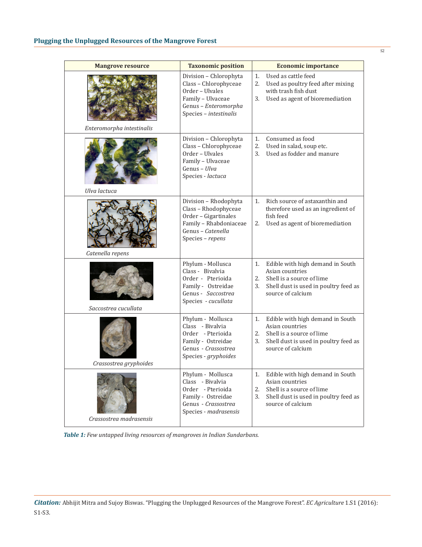| <b>Mangrove resource</b>  | <b>Taxonomic position</b>                                                                                                                 | <b>Economic importance</b>                                                                                                                                       |
|---------------------------|-------------------------------------------------------------------------------------------------------------------------------------------|------------------------------------------------------------------------------------------------------------------------------------------------------------------|
|                           | Division - Chlorophyta<br>Class - Chlorophyceae<br>Order - Ulvales<br>Family - Ulvaceae<br>Genus - Enteromorpha<br>Species - intestinalis | 1.<br>Used as cattle feed<br>2.<br>Used as poultry feed after mixing<br>with trash fish dust<br>3.<br>Used as agent of bioremediation                            |
| Enteromorpha intestinalis |                                                                                                                                           |                                                                                                                                                                  |
| Ulva lactuca              | Division - Chlorophyta<br>Class - Chlorophyceae<br>Order - Ulvales<br>Family - Ulvaceae<br>Genus - Ulva<br>Species - lactuca              | 1.<br>Consumed as food<br>2.<br>Used in salad, soup etc.<br>3.<br>Used as fodder and manure                                                                      |
| Catenella repens          | Division - Rhodophyta<br>Class - Rhodophyceae<br>Order - Gigartinales<br>Family - Rhabdoniaceae<br>Genus - Catenella<br>Species - repens  | Rich source of astaxanthin and<br>1.<br>therefore used as an ingredient of<br>fish feed<br>2.<br>Used as agent of bioremediation                                 |
| Saccostrea cucullata      | Phylum - Mollusca<br>Class - Bivalvia<br>Order - Pterioida<br>Family - Ostreidae<br>Genus - Saccostrea<br>Species - cucullata             | 1.<br>Edible with high demand in South<br>Asian countries<br>2. Shell is a source of lime<br>Shell dust is used in poultry feed as<br>3.<br>source of calcium    |
| Crassostrea gryphoides    | Phylum - Mollusca<br>Class - Bivalvia<br>Order - Pterioida<br>Family - Ostreidae<br>Genus - Crassostrea<br>Species - gryphoides           | Edible with high demand in South<br>1.<br>Asian countries<br>Shell is a source of lime<br>2.<br>3.<br>Shell dust is used in poultry feed as<br>source of calcium |
| Crassostrea madrasensis   | Phylum - Mollusca<br>Class - Bivalvia<br>Order - Pterioida<br>Family - Ostreidae<br>Genus - Crassostrea<br>Species - madrasensis          | Edible with high demand in South<br>1.<br>Asian countries<br>2.<br>Shell is a source of lime<br>3.<br>Shell dust is used in poultry feed as<br>source of calcium |

*Table 1: Few untapped living resources of mangroves in Indian Sundarbans.*